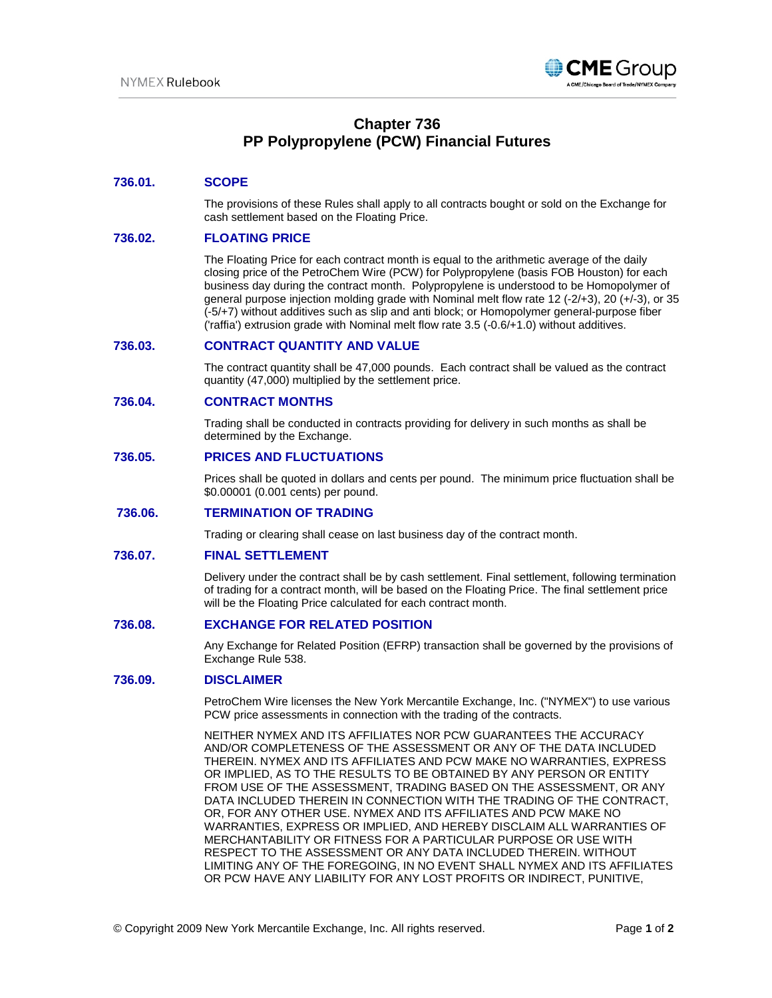

# **Chapter 736 PP Polypropylene (PCW) Financial Futures**

# **736.01. SCOPE**

The provisions of these Rules shall apply to all contracts bought or sold on the Exchange for cash settlement based on the Floating Price.

#### **736.02. FLOATING PRICE**

The Floating Price for each contract month is equal to the arithmetic average of the daily closing price of the PetroChem Wire (PCW) for Polypropylene (basis FOB Houston) for each business day during the contract month. Polypropylene is understood to be Homopolymer of general purpose injection molding grade with Nominal melt flow rate 12 (-2/+3), 20 (+/-3), or 35 (-5/+7) without additives such as slip and anti block; or Homopolymer general-purpose fiber ('raffia') extrusion grade with Nominal melt flow rate 3.5 (-0.6/+1.0) without additives.

# **736.03. CONTRACT QUANTITY AND VALUE**

The contract quantity shall be 47,000 pounds. Each contract shall be valued as the contract quantity (47,000) multiplied by the settlement price.

#### **736.04. CONTRACT MONTHS**

Trading shall be conducted in contracts providing for delivery in such months as shall be determined by the Exchange.

# **736.05. PRICES AND FLUCTUATIONS**

Prices shall be quoted in dollars and cents per pound. The minimum price fluctuation shall be \$0.00001 (0.001 cents) per pound.

# **736.06. TERMINATION OF TRADING**

Trading or clearing shall cease on last business day of the contract month.

## **736.07. FINAL SETTLEMENT**

Delivery under the contract shall be by cash settlement. Final settlement, following termination of trading for a contract month, will be based on the Floating Price. The final settlement price will be the Floating Price calculated for each contract month.

#### **736.08. EXCHANGE FOR RELATED POSITION**

Any Exchange for Related Position (EFRP) transaction shall be governed by the provisions of Exchange Rule 538.

## **736.09. DISCLAIMER**

PetroChem Wire licenses the New York Mercantile Exchange, Inc. ("NYMEX") to use various PCW price assessments in connection with the trading of the contracts.

NEITHER NYMEX AND ITS AFFILIATES NOR PCW GUARANTEES THE ACCURACY AND/OR COMPLETENESS OF THE ASSESSMENT OR ANY OF THE DATA INCLUDED THEREIN. NYMEX AND ITS AFFILIATES AND PCW MAKE NO WARRANTIES, EXPRESS OR IMPLIED, AS TO THE RESULTS TO BE OBTAINED BY ANY PERSON OR ENTITY FROM USE OF THE ASSESSMENT, TRADING BASED ON THE ASSESSMENT, OR ANY DATA INCLUDED THEREIN IN CONNECTION WITH THE TRADING OF THE CONTRACT, OR, FOR ANY OTHER USE. NYMEX AND ITS AFFILIATES AND PCW MAKE NO WARRANTIES, EXPRESS OR IMPLIED, AND HEREBY DISCLAIM ALL WARRANTIES OF MERCHANTABILITY OR FITNESS FOR A PARTICULAR PURPOSE OR USE WITH RESPECT TO THE ASSESSMENT OR ANY DATA INCLUDED THEREIN. WITHOUT LIMITING ANY OF THE FOREGOING, IN NO EVENT SHALL NYMEX AND ITS AFFILIATES OR PCW HAVE ANY LIABILITY FOR ANY LOST PROFITS OR INDIRECT, PUNITIVE,